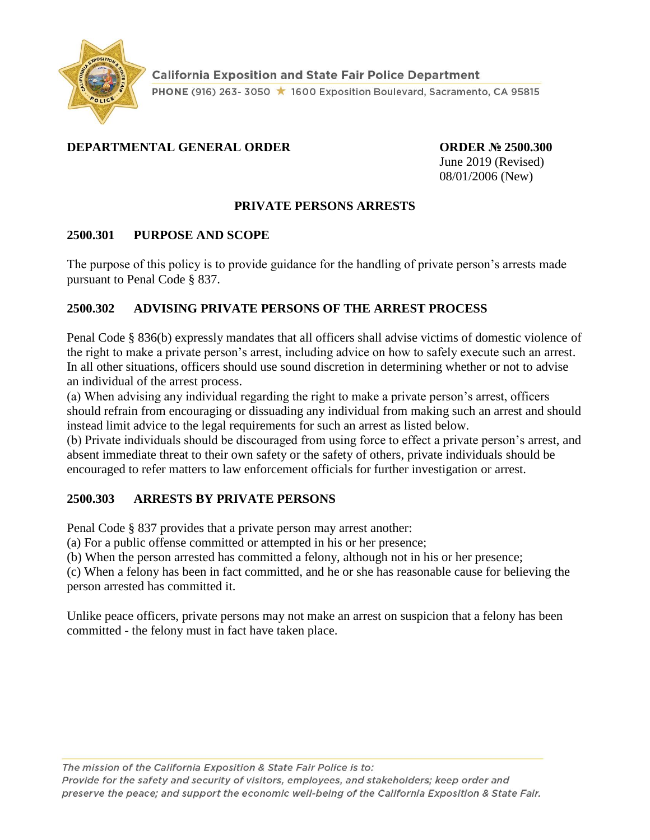

## **DEPARTMENTAL GENERAL ORDER ORDER № 2500.300**

June 2019 (Revised) 08/01/2006 (New)

### **PRIVATE PERSONS ARRESTS**

#### **2500.301 PURPOSE AND SCOPE**

The purpose of this policy is to provide guidance for the handling of private person's arrests made pursuant to Penal Code § 837.

## **2500.302 ADVISING PRIVATE PERSONS OF THE ARREST PROCESS**

Penal Code § 836(b) expressly mandates that all officers shall advise victims of domestic violence of the right to make a private person's arrest, including advice on how to safely execute such an arrest. In all other situations, officers should use sound discretion in determining whether or not to advise an individual of the arrest process.

(a) When advising any individual regarding the right to make a private person's arrest, officers should refrain from encouraging or dissuading any individual from making such an arrest and should instead limit advice to the legal requirements for such an arrest as listed below.

(b) Private individuals should be discouraged from using force to effect a private person's arrest, and absent immediate threat to their own safety or the safety of others, private individuals should be encouraged to refer matters to law enforcement officials for further investigation or arrest.

#### **2500.303 ARRESTS BY PRIVATE PERSONS**

Penal Code § 837 provides that a private person may arrest another:

(a) For a public offense committed or attempted in his or her presence;

(b) When the person arrested has committed a felony, although not in his or her presence;

(c) When a felony has been in fact committed, and he or she has reasonable cause for believing the person arrested has committed it.

Unlike peace officers, private persons may not make an arrest on suspicion that a felony has been committed - the felony must in fact have taken place.